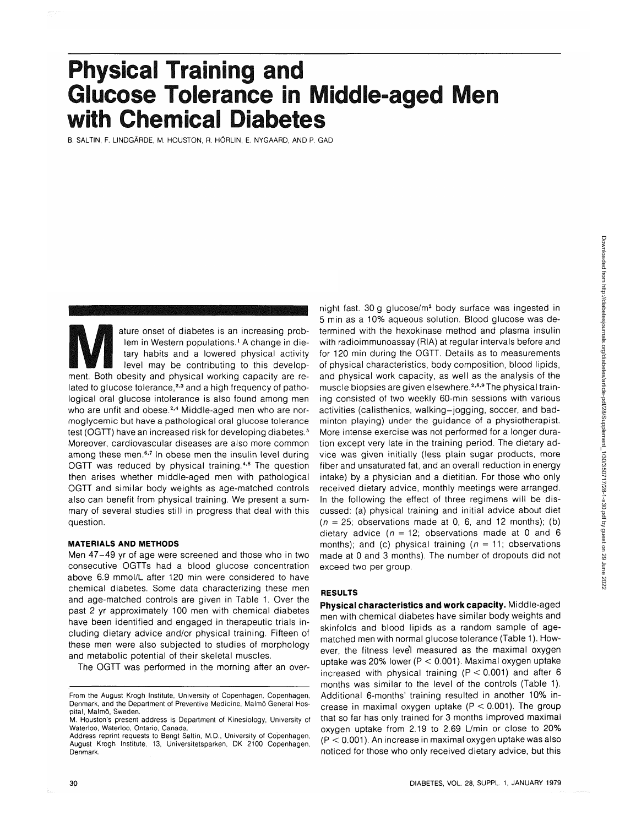# **Physical Training and Glucose Tolerance in Middle-aged Men with Chemical Diabetes**

B. SALTIN, F. LINDGARDE, M. HOUSTON, R. HORLIN, E. NYGAARD, AND P. GAD

ature onset of diabetes is an increasing prob-<br>
lem in Western populations.<sup>1</sup> A change in die-<br>
tary habits and a lowered physical activity<br>
level may be contributing to this develop-<br>
ment. Both obesity and physical work lem in Western populations.<sup>1</sup> A change in dietary habits and a lowered physical activity level may be contributing to this developlated to glucose tolerance,<sup>2,3</sup> and a high frequency of pathological oral glucose intolerance is also found among men who are unfit and obese.<sup>2,4</sup> Middle-aged men who are normoglycemic but have a pathological oral glucose tolerance test (OGTT) have an increased risk for developing diabetes.<sup>5</sup> Moreover, cardiovascular diseases are also more common among these men.<sup>6,7</sup> In obese men the insulin level during OGTT was reduced by physical training.<sup>4,8</sup> The question then arises whether middle-aged men with pathological OGTT and similar body weights as age-matched controls also can benefit from physical training. We present a summary of several studies still in progress that deal with this question.

### **MATERIALS AND METHODS**

Men 47-49 yr of age were screened and those who in two consecutive OGTTs had a blood glucose concentration above 6.9 mmol/L after 120 min were considered to have chemical diabetes. Some data characterizing these men and age-matched controls are given in Table 1. Over the past 2 yr approximately 100 men with chemical diabetes have been identified and engaged in therapeutic trials including dietary advice and/or physical training. Fifteen of these men were also subjected to studies of morphology and metabolic potential of their skeletal muscles.

The OGTT was performed in the morning after an over-

night fast. 30 g glucose/m<sup>2</sup> body surface was ingested in 5 min as a 10% aqueous solution. Blood glucose was determined with the hexokinase method and plasma insulin with radioimmunoassay (RIA) at regular intervals before and for 120 min during the OGTT. Details as to measurements of physical characteristics, body composition, blood lipids, and physical work capacity, as well as the analysis of the muscle biopsies are given elsewhere.<sup>2,8,9</sup> The physical training consisted of two weekly 60-min sessions with various activities (calisthenics, walking-jogging, soccer, and badminton playing) under the guidance of a physiotherapist. More intense exercise was not performed for a longer duration except very late in the training period. The dietary advice was given initially (less plain sugar products, more fiber and unsaturated fat, and an overall reduction in energy intake) by a physician and a dietitian. For those who only received dietary advice, monthly meetings were arranged. In the following the effect of three regimens will be discussed: (a) physical training and initial advice about diet  $(n = 25;$  observations made at 0, 6, and 12 months); (b) dietary advice ( $n = 12$ ; observations made at 0 and 6 months); and (c) physical training ( $n = 11$ ; observations made at 0 and 3 months). The number of dropouts did not exceed two per group.

## **RESULTS**

**Physical characteristics and work capacity.** Middle-aged men with chemical diabetes have similar body weights and skinfolds and blood lipids as a random sample of agematched men with normal glucose tolerance (Table 1). However, the fitness level measured as the maximal oxygen uptake was 20% lower (P < 0.001). Maximal oxygen uptake increased with physical training ( $P < 0.001$ ) and after 6 months was similar to the level of the controls (Table 1). Additional 6-months' training resulted in another 10% increase in maximal oxygen uptake  $(P < 0.001)$ . The group that so far has only trained for 3 months improved maximal oxygen uptake from 2.19 to 2.69 Umin or close to 20% (P < 0.001). An increase in maximal oxygen uptake was also noticed for those who only received dietary advice, but this

From the August Krogh Institute, University of Copenhagen, Copenhagen, Denmark, and the Department of Preventive Medicine, Malmö General Hospital, Malmö, Sweden.

M. Houston's present address is Department of Kinesiology, University of Waterloo, Waterloo, Ontario, Canada.

Address reprint requests to Bengt Saltin, M.D., University of Copenhagen, August Krogh Institute, 13, Universitetsparken, DK 2100 Copenhagen, Denmark.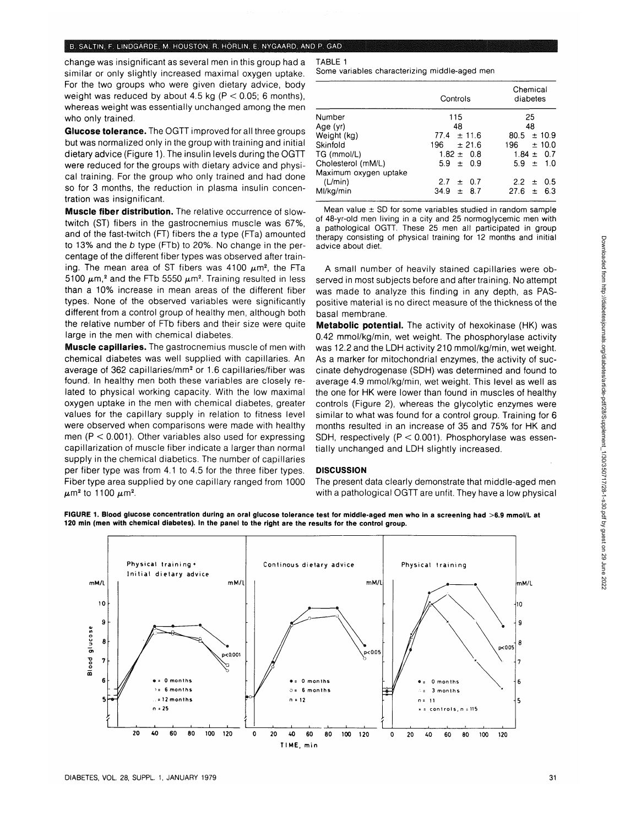#### B. SALTIN, F. UNDGARDE, M. HOUSTON, R. HORLIN, E. NYGAARD, AND P. GAD

change was insignificant as several men in this group had a similar or only slightly increased maximal oxygen uptake. For the two groups who were given dietary advice, body weight was reduced by about 4.5 kg ( $P < 0.05$ ; 6 months), whereas weight was essentially unchanged among the men who only trained.

**Glucose tolerance.** The OGTT improved for all three groups but was normalized only in the group with training and initial dietary advice (Figure 1).The insulin levels during the OGTT were reduced for the groups with dietary advice and physical training. For the group who only trained and had done so for 3 months, the reduction in plasma insulin concentration was insignificant.

**Muscle fiber distribution.** The relative occurrence of slowtwitch (ST) fibers in the gastrocnemius muscle was 67%, and of the fast-twitch (FT) fibers the a type (FTa) amounted to 13% and the b type (FTb) to 20%. No change in the percentage of the different fiber types was observed after training. The mean area of ST fibers was 4100  $\mu$ m<sup>2</sup>, the FTa 5100  $\mu$ m,<sup>2</sup> and the FTb 5550  $\mu$ m<sup>2</sup>. Training resulted in less than a 10% increase in mean areas of the different fiber types. None of the observed variables were significantly different from a control group of healthy men, although both the relative number of FTb fibers and their size were quite large in the men with chemical diabetes.

**Muscle capillaries.** The gastrocnemius muscle of men with chemical diabetes was well supplied with capillaries. An average of 362 capillaries/mm<sup>2</sup> or 1.6 capillaries/fiber was found. In healthy men both these variables are closely related to physical working capacity. With the low maximal oxygen uptake in the men with chemical diabetes, greater values for the capillary supply in relation to fitness level were observed when comparisons were made with healthy men ( $P < 0.001$ ). Other variables also used for expressing capillarization of muscle fiber indicate a larger than normal supply in the chemical diabetics. The number of capillaries per fiber type was from 4.1 to 4.5 for the three fiber types. Fiber type area supplied by one capillary ranged from 1000  $\mu$ m<sup>2</sup> to 1100  $\mu$ m<sup>2</sup>

## Some variables characterizing middle-aged men

TABLE 1

|                       | Controls         | Chemical<br>diabetes |
|-----------------------|------------------|----------------------|
| Number                | 115              | 25                   |
| Age (yr)              | 48               | 48                   |
| Weight (kg)           | $77.4 \pm 11.6$  | ± 10.9<br>80.5       |
| Skinfold              | 196 -<br>± 21.6  | ± 10.0<br>196        |
| TG (mmol/L)           | $1.82 \pm 0.8$   | $1.84 \pm 0.7$       |
| Cholesterol (mM/L)    | $5.9 \pm 0.9$    | $5.9 \pm 1.0$        |
| Maximum oxygen uptake |                  |                      |
| (L/min)               | 2.7<br>$\pm$ 0.7 | $2.2 \pm 0.5$        |
| Ml/kg/min             | $34.9 \pm 8.7$   | 27.6<br>$\pm$ 6.3    |
|                       |                  |                      |

Mean value  $\pm$  SD for some variables studied in random sample of 48-yr-old men living in a city and 25 normoglycemic men with a pathological OGTT. These 25 men all participated in group therapy consisting of physical training for 12 months and initial advice about diet.

A small number of heavily stained capillaries were observed in most subjects before and after training. No attempt was made to analyze this finding in any depth, as PASpositive material is no direct measure of the thickness of the basal membrane.

**Metabolic potential.** The activity of hexokinase (HK) was 0.42 mmol/kg/min, wet weight. The phosphorylase activity was 12.2 and the LDH activity 210 mmol/kg/min, wet weight. As a marker for mitochondrial enzymes, the activity of succinate dehydrogenase (SDH) was determined and found to average 4.9 mmol/kg/min, wet weight. This level as well as the one for HK were lower than found in muscles of healthy controls (Figure 2), whereas the glycolytic enzymes were similar to what was found for a control group. Training for 6 months resulted in an increase of 35 and 75% for HK and SDH, respectively  $(P < 0.001)$ . Phosphorylase was essentially unchanged and LDH slightly increased.

## **DISCUSSION**

The present data clearly demonstrate that middle-aged men with a pathological OGTT are unfit. They have a low physical